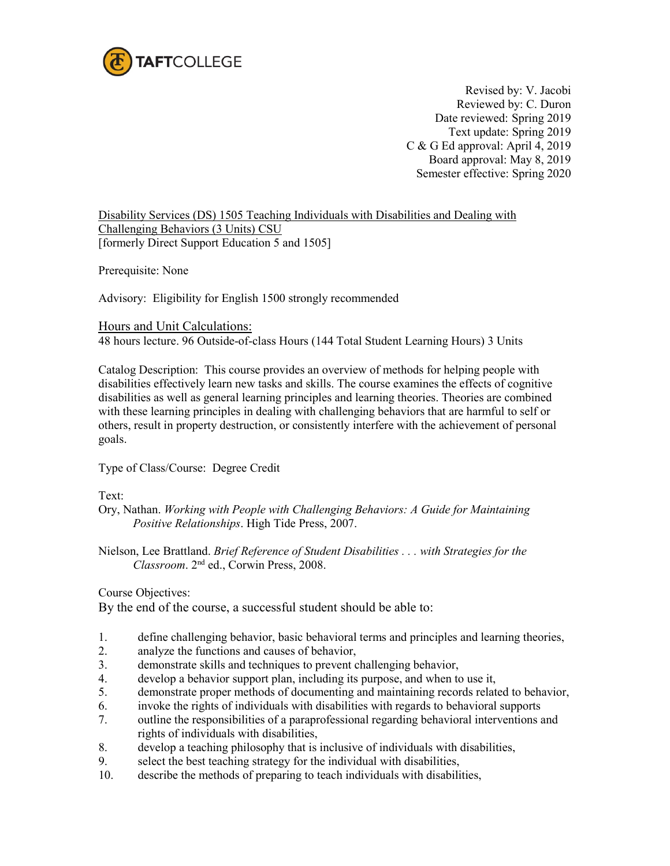

Revised by: V. Jacobi Reviewed by: C. Duron Date reviewed: Spring 2019 Text update: Spring 2019 C & G Ed approval: April 4, 2019 Board approval: May 8, 2019 Semester effective: Spring 2020

Disability Services (DS) 1505 Teaching Individuals with Disabilities and Dealing with Challenging Behaviors (3 Units) CSU [formerly Direct Support Education 5 and 1505]

Prerequisite: None

Advisory: Eligibility for English 1500 strongly recommended

Hours and Unit Calculations:

48 hours lecture. 96 Outside-of-class Hours (144 Total Student Learning Hours) 3 Units

Catalog Description: This course provides an overview of methods for helping people with disabilities effectively learn new tasks and skills. The course examines the effects of cognitive disabilities as well as general learning principles and learning theories. Theories are combined with these learning principles in dealing with challenging behaviors that are harmful to self or others, result in property destruction, or consistently interfere with the achievement of personal goals.

Type of Class/Course: Degree Credit

Text:

- Ory, Nathan. *Working with People with Challenging Behaviors: A Guide for Maintaining Positive Relationships*. High Tide Press, 2007.
- Nielson, Lee Brattland. *Brief Reference of Student Disabilities . . . with Strategies for the Classroom*. 2nd ed., Corwin Press, 2008.

Course Objectives:

By the end of the course, a successful student should be able to:

- 1. define challenging behavior, basic behavioral terms and principles and learning theories,<br>2. analyze the functions and causes of behavior.
- analyze the functions and causes of behavior,
- 3. demonstrate skills and techniques to prevent challenging behavior,
- 4. develop a behavior support plan, including its purpose, and when to use it,
- 5. demonstrate proper methods of documenting and maintaining records related to behavior,
- 6. invoke the rights of individuals with disabilities with regards to behavioral supports
- 7. outline the responsibilities of a paraprofessional regarding behavioral interventions and rights of individuals with disabilities,
- 8. develop a teaching philosophy that is inclusive of individuals with disabilities,
- 9. select the best teaching strategy for the individual with disabilities,
- 10. describe the methods of preparing to teach individuals with disabilities,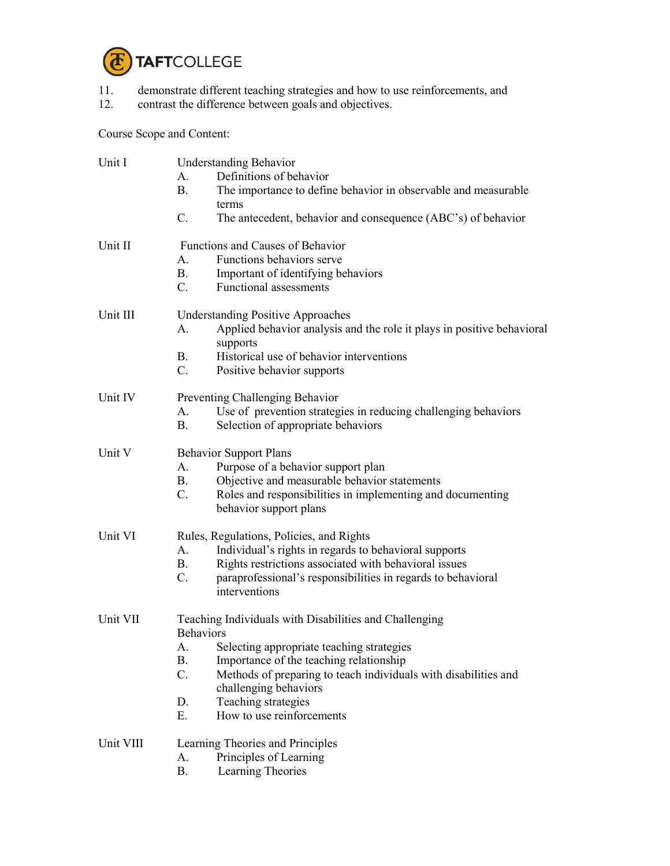

- 11. demonstrate different teaching strategies and how to use reinforcements, and
- 12. contrast the difference between goals and objectives.

Course Scope and Content:

| Unit I    | <b>Understanding Behavior</b>                                                            |  |  |
|-----------|------------------------------------------------------------------------------------------|--|--|
|           | Definitions of behavior<br>$A_{\cdot}$                                                   |  |  |
|           | <b>B.</b><br>The importance to define behavior in observable and measurable              |  |  |
|           | terms                                                                                    |  |  |
|           | C.<br>The antecedent, behavior and consequence (ABC's) of behavior                       |  |  |
| Unit II   | Functions and Causes of Behavior                                                         |  |  |
|           | Functions behaviors serve<br>А.                                                          |  |  |
|           | <b>B.</b><br>Important of identifying behaviors                                          |  |  |
|           | $C_{\cdot}$<br>Functional assessments                                                    |  |  |
|           |                                                                                          |  |  |
| Unit III  | <b>Understanding Positive Approaches</b>                                                 |  |  |
|           | Applied behavior analysis and the role it plays in positive behavioral<br>A.<br>supports |  |  |
|           | Historical use of behavior interventions<br><b>B.</b>                                    |  |  |
|           | $C_{\cdot}$                                                                              |  |  |
|           | Positive behavior supports                                                               |  |  |
| Unit IV   | Preventing Challenging Behavior                                                          |  |  |
|           | Use of prevention strategies in reducing challenging behaviors<br>А.                     |  |  |
|           | <b>B.</b><br>Selection of appropriate behaviors                                          |  |  |
| Unit V    | <b>Behavior Support Plans</b>                                                            |  |  |
|           | Purpose of a behavior support plan<br>А.                                                 |  |  |
|           | <b>B.</b><br>Objective and measurable behavior statements                                |  |  |
|           | C.<br>Roles and responsibilities in implementing and documenting                         |  |  |
|           | behavior support plans                                                                   |  |  |
|           |                                                                                          |  |  |
| Unit VI   | Rules, Regulations, Policies, and Rights                                                 |  |  |
|           | Individual's rights in regards to behavioral supports<br>A.                              |  |  |
|           | Rights restrictions associated with behavioral issues<br>$B_{-}$                         |  |  |
|           | $C$ .<br>paraprofessional's responsibilities in regards to behavioral<br>interventions   |  |  |
|           |                                                                                          |  |  |
| Unit VII  | Teaching Individuals with Disabilities and Challenging                                   |  |  |
|           | <b>Behaviors</b>                                                                         |  |  |
|           | Selecting appropriate teaching strategies<br>A.                                          |  |  |
|           | <b>B.</b><br>Importance of the teaching relationship                                     |  |  |
|           | C.<br>Methods of preparing to teach individuals with disabilities and                    |  |  |
|           | challenging behaviors                                                                    |  |  |
|           | Teaching strategies<br>D.                                                                |  |  |
|           | Ε.<br>How to use reinforcements                                                          |  |  |
| Unit VIII | Learning Theories and Principles                                                         |  |  |
|           | Principles of Learning<br>A.                                                             |  |  |
|           | <b>B.</b><br>Learning Theories                                                           |  |  |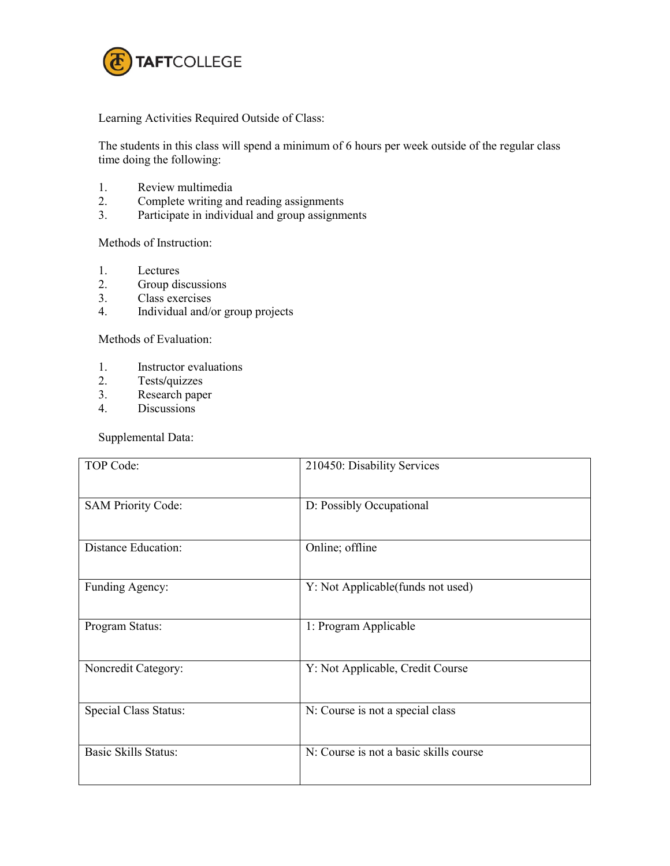

Learning Activities Required Outside of Class:

The students in this class will spend a minimum of 6 hours per week outside of the regular class time doing the following:

- 1. Review multimedia<br>2. Complete writing an
- 2. Complete writing and reading assignments
- 3. Participate in individual and group assignments

Methods of Instruction:

- 1. Lectures
- 2. Group discussions
- 3. Class exercises
- 4. Individual and/or group projects

Methods of Evaluation:

- 1. Instructor evaluations<br>2. Tests/quizzes
- 2. Tests**/**quizzes
- 3. Research paper
- 4. Discussions

Supplemental Data:

| TOP Code:                    | 210450: Disability Services            |
|------------------------------|----------------------------------------|
| <b>SAM Priority Code:</b>    | D: Possibly Occupational               |
| <b>Distance Education:</b>   | Online; offline                        |
| Funding Agency:              | Y: Not Applicable (funds not used)     |
| Program Status:              | 1: Program Applicable                  |
| Noncredit Category:          | Y: Not Applicable, Credit Course       |
| <b>Special Class Status:</b> | N: Course is not a special class       |
| <b>Basic Skills Status:</b>  | N: Course is not a basic skills course |